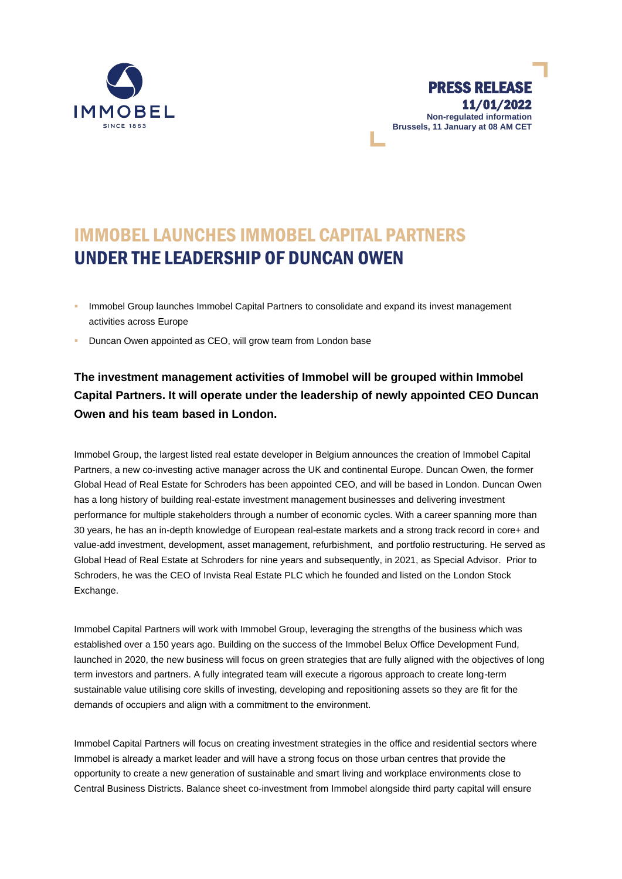

## IMMOBEL LAUNCHES IMMOBEL CAPITAL PARTNERS UNDER THE LEADERSHIP OF DUNCAN OWEN

- Immobel Group launches Immobel Capital Partners to consolidate and expand its invest management activities across Europe
- Duncan Owen appointed as CEO, will grow team from London base

## **The investment management activities of Immobel will be grouped within Immobel Capital Partners. It will operate under the leadership of newly appointed CEO Duncan Owen and his team based in London.**

Immobel Group, the largest listed real estate developer in Belgium announces the creation of Immobel Capital Partners, a new co-investing active manager across the UK and continental Europe. Duncan Owen, the former Global Head of Real Estate for Schroders has been appointed CEO, and will be based in London. Duncan Owen has a long history of building real-estate investment management businesses and delivering investment performance for multiple stakeholders through a number of economic cycles. With a career spanning more than 30 years, he has an in-depth knowledge of European real-estate markets and a strong track record in core+ and value-add investment, development, asset management, refurbishment, and portfolio restructuring. He served as Global Head of Real Estate at Schroders for nine years and subsequently, in 2021, as Special Advisor. Prior to Schroders, he was the CEO of Invista Real Estate PLC which he founded and listed on the London Stock Exchange.

Immobel Capital Partners will work with Immobel Group, leveraging the strengths of the business which was established over a 150 years ago. Building on the success of the Immobel Belux Office Development Fund, launched in 2020, the new business will focus on green strategies that are fully aligned with the objectives of long term investors and partners. A fully integrated team will execute a rigorous approach to create long-term sustainable value utilising core skills of investing, developing and repositioning assets so they are fit for the demands of occupiers and align with a commitment to the environment.

Immobel Capital Partners will focus on creating investment strategies in the office and residential sectors where Immobel is already a market leader and will have a strong focus on those urban centres that provide the opportunity to create a new generation of sustainable and smart living and workplace environments close to Central Business Districts. Balance sheet co-investment from Immobel alongside third party capital will ensure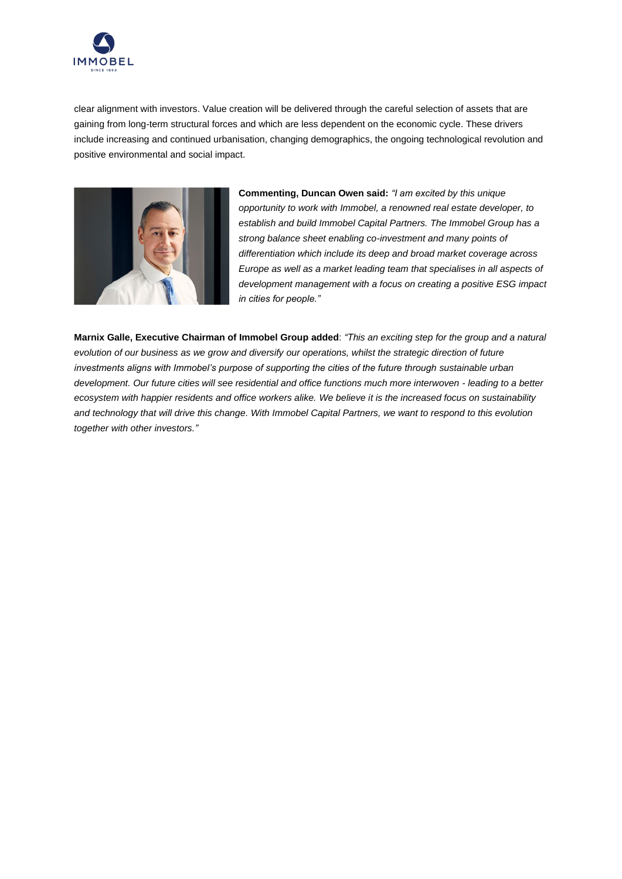

clear alignment with investors. Value creation will be delivered through the careful selection of assets that are gaining from long-term structural forces and which are less dependent on the economic cycle. These drivers include increasing and continued urbanisation, changing demographics, the ongoing technological revolution and positive environmental and social impact.



**Commenting, Duncan Owen said:** *"I am excited by this unique opportunity to work with Immobel, a renowned real estate developer, to establish and build Immobel Capital Partners. The Immobel Group has a strong balance sheet enabling co-investment and many points of differentiation which include its deep and broad market coverage across Europe as well as a market leading team that specialises in all aspects of development management with a focus on creating a positive ESG impact in cities for people."*

**Marnix Galle, Executive Chairman of Immobel Group added**: *"This an exciting step for the group and a natural evolution of our business as we grow and diversify our operations, whilst the strategic direction of future investments aligns with Immobel's purpose of supporting the cities of the future through sustainable urban development. Our future cities will see residential and office functions much more interwoven - leading to a better ecosystem with happier residents and office workers alike. We believe it is the increased focus on sustainability and technology that will drive this change. With Immobel Capital Partners, we want to respond to this evolution together with other investors."*